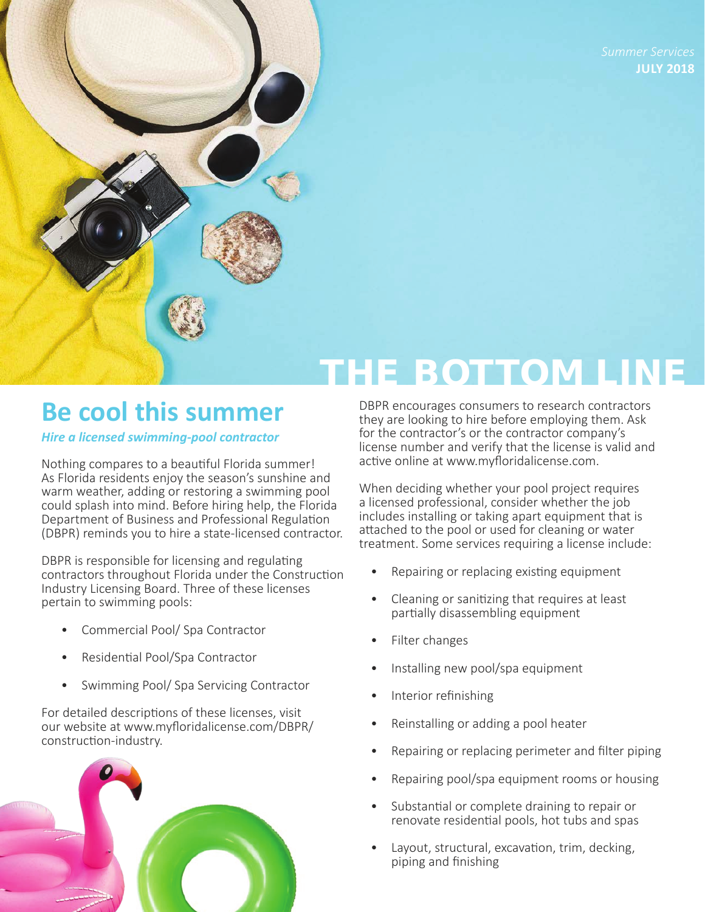**JULY 2018** 

# **Be cool this summer**

*Hire a licensed swimming-pool contractor* 

Nothing compares to a beautiful Florida summer! As Florida residents enjoy the season's sunshine and warm weather, adding or restoring a swimming pool could splash into mind. Before hiring help, the Florida Department of Business and Professional Regulation (DBPR) reminds you to hire a state-licensed contractor.

DBPR is responsible for licensing and regulating contractors throughout Florida under the Construction Industry Licensing Board. Three of these licenses pertain to swimming pools:

- Commercial Pool/ Spa Contractor
- Residential Pool/Spa Contractor
- Swimming Pool/ Spa Servicing Contractor

For detailed descriptions of these licenses, visit our website at [www.myfloridalicense.com/DBPR/](http://www.myfloridalicense.com/DBPR/construction-industry/) [construction-industry.](http://www.myfloridalicense.com/DBPR/construction-industry/)



DBPR encourages consumers to research contractors they are looking to hire before employing them. Ask for the contractor's or the contractor company's license number and verify that the license is valid and active online at [www.myfloridalicense.com.](http://www.myfloridalicense.com/dbpr/)

**HE BOTTOM LINE** 

When deciding whether your pool project requires a licensed professional, consider whether the job includes installing or taking apart equipment that is attached to the pool or used for cleaning or water treatment. Some services requiring a license include:

- Repairing or replacing existing equipment
- Cleaning or sanitizing that requires at least partially disassembling equipment
- Filter changes
- Installing new pool/spa equipment
- Interior refinishing
- Reinstalling or adding a pool heater
- Repairing or replacing perimeter and filter piping
- Repairing pool/spa equipment rooms or housing
- Substantial or complete draining to repair or renovate residential pools, hot tubs and spas
- Layout, structural, excavation, trim, decking, piping and finishing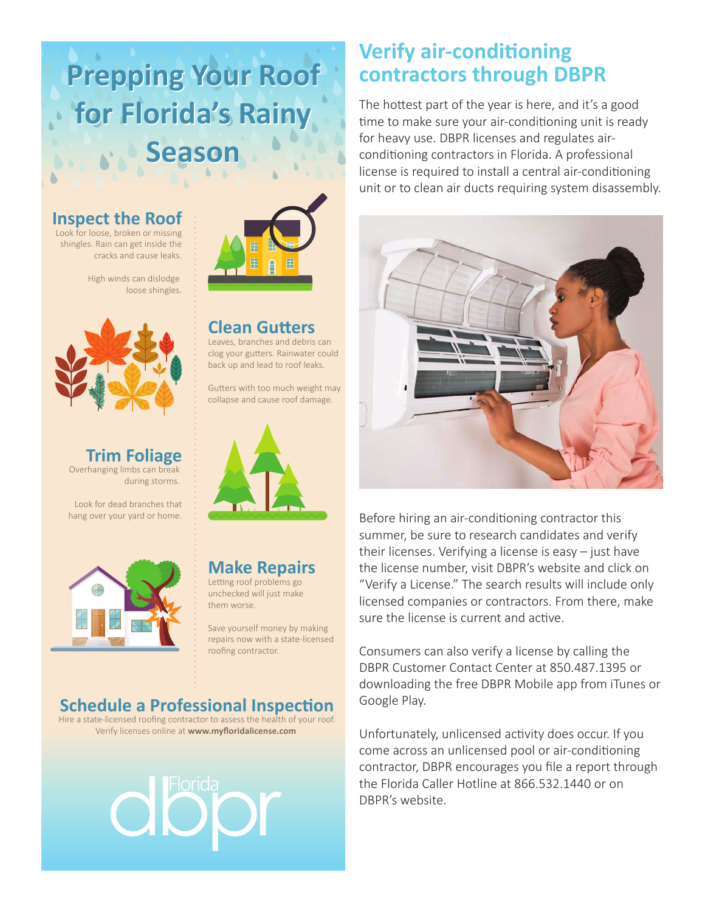# **Prepping Your Roof Prepping Your Roof for Florida's Rainy for Florida's Rainy Season Season**

#### **Inspect the Roof**

Look for loose, broken or missing shingles. Rain can get inside the cracks and cause leaks.

> High winds can dislodge loose shingles.



**Trim Foliage** Overhanging limbs can break during storms.

Look for dead branches that hang over your yard or home.





**Clean Gutters** Leaves, branches and debris can clog your gutters. Rainwater could back up and lead to roof leaks.

Gutters with too much weight may collapse and cause roof damage.



# **Make Repairs**

Letting roof problems go unchecked will just make them worse.

Save yourself money by making repairs now with a state-licensed roofing contractor.

### **Schedule a Professional Inspection**

Hire a state-licensed roofing contractor to assess the health of your roof. Verify licenses online at **www.myfloridalicense.com**

# **Verify air-conditioning contractors through DBPR**

The hottest part of the year is here, and it's a good time to make sure your air-conditioning unit is ready for heavy use. DBPR licenses and regulates airconditioning contractors in Florida. A professional license is required to install a central air-conditioning unit or to clean air ducts requiring system disassembly.



Before hiring an air-conditioning contractor this summer, be sure to research candidates and verify their licenses. Verifying a license is easy – just have the license number, visit DBPR's website and click on "Verify a License." The search results will include only licensed companies or contractors. From there, make sure the license is current and active.

Consumers can also verify a license by calling the DBPR Customer Contact Center at 850.487.1395 or downloading the free DBPR Mobile app from iTunes or Google Play.

Unfortunately, unlicensed activity does occur. If you come across an unlicensed pool or air-conditioning contractor, DBPR encourages you file a report through the Florida Caller Hotline at 866.532.1440 or on DBPR's website.